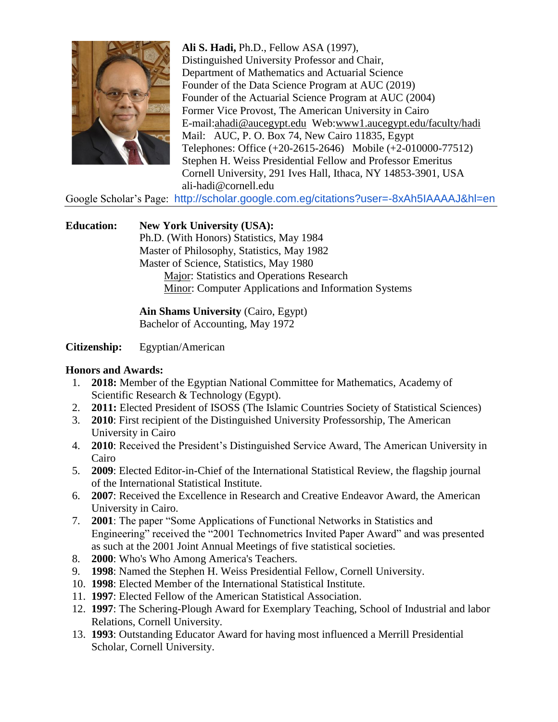

**Ali S. Hadi,** Ph.D., Fellow ASA (1997), Distinguished University Professor and Chair, Department of Mathematics and Actuarial Science Founder of the Data Science Program at AUC (2019) Founder of the Actuarial Science Program at AUC (2004) Former Vice Provost, The American University in Cairo E-mail[:ahadi@aucegypt.edu](mailto:ahadi@aucegypt.edu) Web[:www1.aucegypt.edu/faculty/hadi](http://www.aucegypt.edu/faculty/hadi) Mail: AUC, P. O. Box 74, New Cairo 11835, Egypt Telephones: Office (+20-2615-2646) Mobile (+2-010000-77512) Stephen H. Weiss Presidential Fellow and Professor Emeritus Cornell University, 291 Ives Hall, Ithaca, NY 14853-3901, USA ali-hadi@cornell.edu

Google Scholar's Page: <http://scholar.google.com.eg/citations?user=-8xAh5IAAAAJ&hl=en>

**Education: New York University (USA):** Ph.D. (With Honors) Statistics, May 1984 Master of Philosophy, Statistics, May 1982 Master of Science, Statistics, May 1980 Major: Statistics and Operations Research Minor: Computer Applications and Information Systems

> **Ain Shams University** (Cairo, Egypt) Bachelor of Accounting, May 1972

**Citizenship:** Egyptian/American

#### **Honors and Awards:**

- 1. **2018:** Member of the Egyptian National Committee for Mathematics, Academy of Scientific Research & Technology (Egypt).
- 2. **2011:** Elected President of ISOSS (The Islamic Countries Society of Statistical Sciences)
- 3. **2010**: First recipient of the Distinguished University Professorship, The American University in Cairo
- 4. **2010**: Received the President's Distinguished Service Award, The American University in Cairo
- 5. **2009**: Elected Editor-in-Chief of the International Statistical Review, the flagship journal of the International Statistical Institute.
- 6. **2007**: Received the Excellence in Research and Creative Endeavor Award, the American University in Cairo.
- 7. **2001**: The paper "Some Applications of Functional Networks in Statistics and Engineering" received the "2001 Technometrics Invited Paper Award" and was presented as such at the 2001 Joint Annual Meetings of five statistical societies.
- 8. **2000**: Who's Who Among America's Teachers.
- 9. **1998**: Named the Stephen H. Weiss Presidential Fellow, Cornell University.
- 10. **1998**: Elected Member of the International Statistical Institute.
- 11. **1997**: Elected Fellow of the American Statistical Association.
- 12. **1997**: The Schering-Plough Award for Exemplary Teaching, School of Industrial and labor Relations, Cornell University.
- 13. **1993**: Outstanding Educator Award for having most influenced a Merrill Presidential Scholar, Cornell University.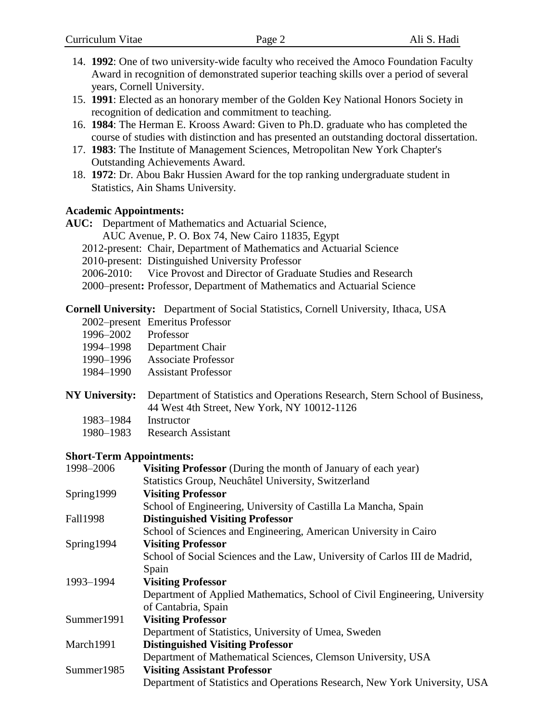- 14. **1992**: One of two university-wide faculty who received the Amoco Foundation Faculty Award in recognition of demonstrated superior teaching skills over a period of several years, Cornell University.
- 15. **1991**: Elected as an honorary member of the Golden Key National Honors Society in recognition of dedication and commitment to teaching.
- 16. **1984**: The Herman E. Krooss Award: Given to Ph.D. graduate who has completed the course of studies with distinction and has presented an outstanding doctoral dissertation.
- 17. **1983**: The Institute of Management Sciences, Metropolitan New York Chapter's Outstanding Achievements Award.
- 18. **1972**: Dr. Abou Bakr Hussien Award for the top ranking undergraduate student in Statistics, Ain Shams University.

#### **Academic Appointments:**

**AUC:** Department of Mathematics and Actuarial Science,

AUC Avenue, P. O. Box 74, New Cairo 11835, Egypt

- 2012-present: Chair, Department of Mathematics and Actuarial Science
- 2010-present: Distinguished University Professor
- 2006-2010: Vice Provost and Director of Graduate Studies and Research

2000–present**:** Professor, Department of Mathematics and Actuarial Science

**Cornell University:** Department of Social Statistics, Cornell University, Ithaca, USA

|           | 2002–present Emeritus Professor |
|-----------|---------------------------------|
| 1996–2002 | Professor                       |

- 1994–1998 Department Chair
- 1990–1996 Associate Professor
- 1984–1990 Assistant Professor
- **NY University:** Department of Statistics and Operations Research, Stern School of Business, 44 West 4th Street, New York, NY 10012-1126
	- 1983–1984 Instructor
	- 1980–1983 Research Assistant

### **Short-Term Appointments:**

| 1998-2006       | Visiting Professor (During the month of January of each year)              |  |  |
|-----------------|----------------------------------------------------------------------------|--|--|
|                 | Statistics Group, Neuchâtel University, Switzerland                        |  |  |
| Spring1999      | <b>Visiting Professor</b>                                                  |  |  |
|                 | School of Engineering, University of Castilla La Mancha, Spain             |  |  |
| <b>Fall1998</b> | <b>Distinguished Visiting Professor</b>                                    |  |  |
|                 | School of Sciences and Engineering, American University in Cairo           |  |  |
| Spring1994      | <b>Visiting Professor</b>                                                  |  |  |
|                 | School of Social Sciences and the Law, University of Carlos III de Madrid, |  |  |
|                 | Spain                                                                      |  |  |
| 1993-1994       | <b>Visiting Professor</b>                                                  |  |  |
|                 | Department of Applied Mathematics, School of Civil Engineering, University |  |  |
|                 | of Cantabria, Spain                                                        |  |  |
| Summer1991      | <b>Visiting Professor</b>                                                  |  |  |
|                 | Department of Statistics, University of Umea, Sweden                       |  |  |
| March1991       | <b>Distinguished Visiting Professor</b>                                    |  |  |
|                 | Department of Mathematical Sciences, Clemson University, USA               |  |  |
| Summer1985      | <b>Visiting Assistant Professor</b>                                        |  |  |
|                 | Department of Statistics and Operations Research, New York University, USA |  |  |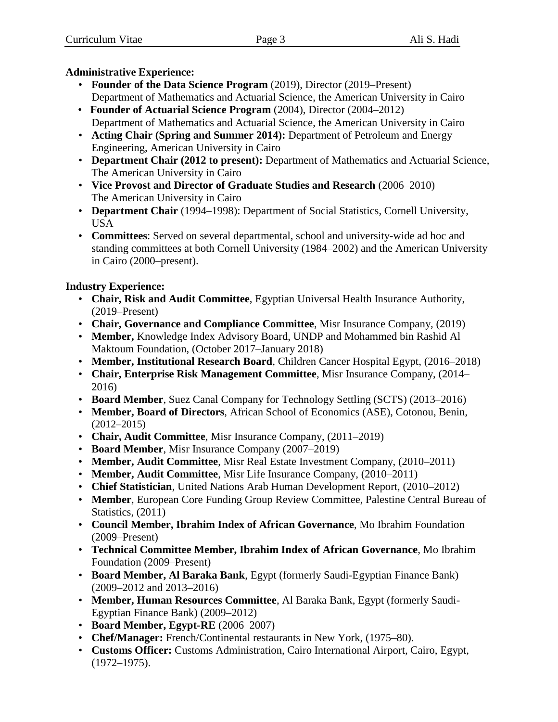## **Administrative Experience:**

- **Founder of the Data Science Program** (2019), Director (2019–Present) Department of Mathematics and Actuarial Science, the American University in Cairo
- **Founder of Actuarial Science Program** (2004), Director (2004–2012) Department of Mathematics and Actuarial Science, the American University in Cairo
- **Acting Chair (Spring and Summer 2014):** Department of Petroleum and Energy Engineering, American University in Cairo
- **Department Chair (2012 to present):** Department of Mathematics and Actuarial Science, The American University in Cairo
- **Vice Provost and Director of Graduate Studies and Research** (2006–2010) The American University in Cairo
- **Department Chair** (1994–1998): Department of Social Statistics, Cornell University, USA
- **Committees**: Served on several departmental, school and university-wide ad hoc and standing committees at both Cornell University (1984–2002) and the American University in Cairo (2000–present).

## **Industry Experience:**

- **Chair, Risk and Audit Committee**, Egyptian Universal Health Insurance Authority, (2019–Present)
- **Chair, Governance and Compliance Committee**, Misr Insurance Company, (2019)
- **Member,** Knowledge Index Advisory Board, UNDP and Mohammed bin Rashid Al Maktoum Foundation, (October 2017–January 2018)
- **Member, Institutional Research Board**, Children Cancer Hospital Egypt, (2016–2018)
- **Chair, Enterprise Risk Management Committee**, Misr Insurance Company, (2014– 2016)
- **Board Member**, Suez Canal Company for Technology Settling (SCTS) (2013–2016)
- **Member, Board of Directors**, African School of Economics (ASE), Cotonou, Benin, (2012–2015)
- **Chair, Audit Committee**, Misr Insurance Company, (2011–2019)
- **Board Member**, Misr Insurance Company (2007–2019)
- **Member, Audit Committee**, Misr Real Estate Investment Company, (2010–2011)
- **Member, Audit Committee**, Misr Life Insurance Company, (2010–2011)
- **Chief Statistician**, United Nations Arab Human Development Report, (2010–2012)
- **Member**, European Core Funding Group Review Committee, Palestine Central Bureau of Statistics,  $(2011)$
- **Council Member, Ibrahim Index of African Governance**, Mo Ibrahim Foundation (2009–Present)
- **Technical Committee Member, Ibrahim Index of African Governance**, Mo Ibrahim Foundation (2009–Present)
- **Board Member, Al Baraka Bank**, Egypt (formerly Saudi-Egyptian Finance Bank) (2009–2012 and 2013–2016)
- **Member, Human Resources Committee**, Al Baraka Bank, Egypt (formerly Saudi-Egyptian Finance Bank) (2009–2012)
- **Board Member, Egypt-RE** (2006–2007)
- **Chef/Manager:** French/Continental restaurants in New York, (1975–80).
- **Customs Officer:** Customs Administration, Cairo International Airport, Cairo, Egypt, (1972–1975).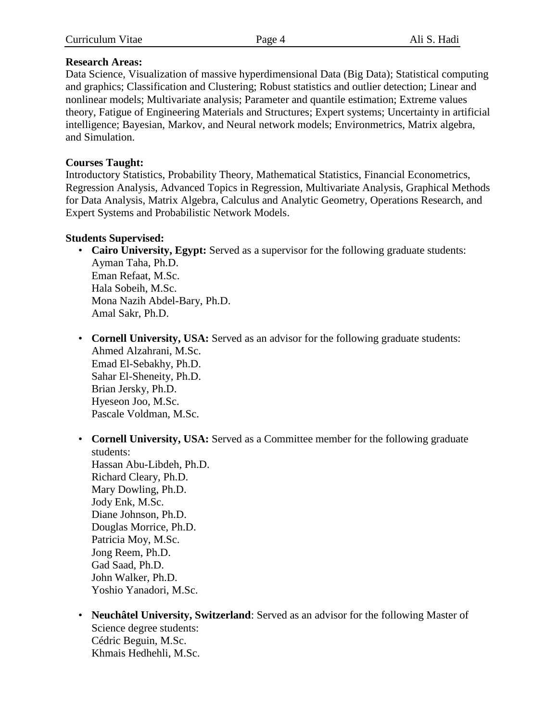#### **Research Areas:**

Data Science, Visualization of massive hyperdimensional Data (Big Data); Statistical computing and graphics; Classification and Clustering; Robust statistics and outlier detection; Linear and nonlinear models; Multivariate analysis; Parameter and quantile estimation; Extreme values theory, Fatigue of Engineering Materials and Structures; Expert systems; Uncertainty in artificial intelligence; Bayesian, Markov, and Neural network models; Environmetrics, Matrix algebra, and Simulation.

### **Courses Taught:**

Introductory Statistics, Probability Theory, Mathematical Statistics, Financial Econometrics, Regression Analysis, Advanced Topics in Regression, Multivariate Analysis, Graphical Methods for Data Analysis, Matrix Algebra, Calculus and Analytic Geometry, Operations Research, and Expert Systems and Probabilistic Network Models.

### **Students Supervised:**

- **Cairo University, Egypt:** Served as a supervisor for the following graduate students: Ayman Taha, Ph.D. Eman Refaat, M.Sc. Hala Sobeih, M.Sc. Mona Nazih Abdel-Bary, Ph.D. Amal Sakr, Ph.D.
- **Cornell University, USA:** Served as an advisor for the following graduate students: Ahmed Alzahrani, M.Sc. Emad El-Sebakhy, Ph.D. Sahar El-Sheneity, Ph.D. Brian Jersky, Ph.D. Hyeseon Joo, M.Sc. Pascale Voldman, M.Sc.
- **Cornell University, USA:** Served as a Committee member for the following graduate students: Hassan Abu-Libdeh, Ph.D.

Richard Cleary, Ph.D. Mary Dowling, Ph.D. Jody Enk, M.Sc. Diane Johnson, Ph.D. Douglas Morrice, Ph.D. Patricia Moy, M.Sc. Jong Reem, Ph.D. Gad Saad, Ph.D. John Walker, Ph.D. Yoshio Yanadori, M.Sc.

• **Neuchâtel University, Switzerland**: Served as an advisor for the following Master of Science degree students: Cédric Beguin, M.Sc. Khmais Hedhehli, M.Sc.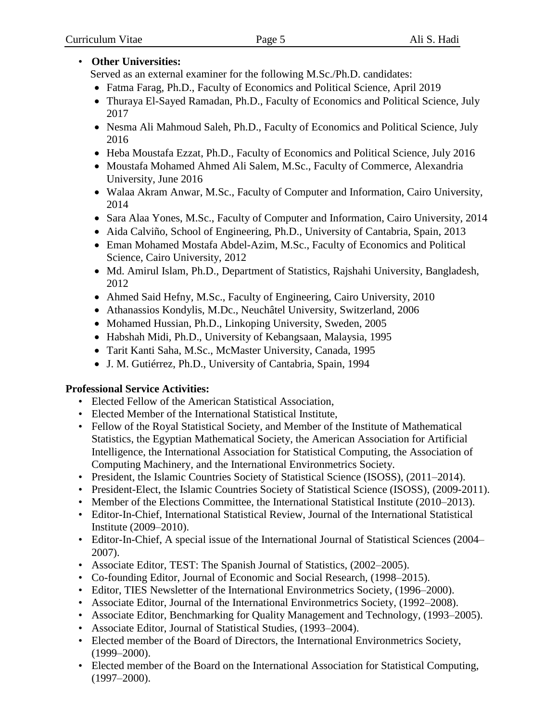## • **Other Universities:**

Served as an external examiner for the following M.Sc./Ph.D. candidates:

- Fatma Farag, Ph.D., Faculty of Economics and Political Science, April 2019
- Thuraya El-Sayed Ramadan, Ph.D., Faculty of Economics and Political Science, July 2017
- Nesma Ali Mahmoud Saleh, Ph.D., Faculty of Economics and Political Science, July 2016
- Heba Moustafa Ezzat, Ph.D., Faculty of Economics and Political Science, July 2016
- Moustafa Mohamed Ahmed Ali Salem, M.Sc., Faculty of Commerce, Alexandria University, June 2016
- Walaa Akram Anwar, M.Sc., Faculty of Computer and Information, Cairo University, 2014
- Sara Alaa Yones, M.Sc., Faculty of Computer and Information, Cairo University, 2014
- Aida Calviño, School of Engineering, Ph.D., University of Cantabria, Spain, 2013
- Eman Mohamed Mostafa Abdel-Azim, M.Sc., Faculty of Economics and Political Science, Cairo University, 2012
- Md. Amirul Islam, Ph.D., Department of Statistics, Rajshahi University, Bangladesh, 2012
- Ahmed Said Hefny, M.Sc., Faculty of Engineering, Cairo University, 2010
- Athanassios Kondylis, M.Dc., Neuchâtel University, Switzerland, 2006
- Mohamed Hussian, Ph.D., Linkoping University, Sweden, 2005
- Habshah Midi, Ph.D., University of Kebangsaan, Malaysia, 1995
- Tarit Kanti Saha, M.Sc., McMaster University, Canada, 1995
- J. M. Gutiérrez, Ph.D., University of Cantabria, Spain, 1994

## **Professional Service Activities:**

- Elected Fellow of the American Statistical Association,
- Elected Member of the International Statistical Institute,
- Fellow of the Royal Statistical Society, and Member of the Institute of Mathematical Statistics, the Egyptian Mathematical Society, the American Association for Artificial Intelligence, the International Association for Statistical Computing, the Association of Computing Machinery, and the International Environmetrics Society.
- President, the Islamic Countries Society of Statistical Science (ISOSS), (2011–2014).
- President-Elect, the Islamic Countries Society of Statistical Science (ISOSS), (2009-2011).
- Member of the Elections Committee, the International Statistical Institute (2010–2013).
- Editor-In-Chief, International Statistical Review, Journal of the International Statistical Institute (2009–2010).
- Editor-In-Chief, A special issue of the International Journal of Statistical Sciences (2004– 2007).
- Associate Editor, TEST: The Spanish Journal of Statistics, (2002–2005).
- Co-founding Editor, Journal of Economic and Social Research, (1998–2015).
- Editor, TIES Newsletter of the International Environmetrics Society, (1996–2000).
- Associate Editor, Journal of the International Environmetrics Society, (1992–2008).
- Associate Editor, Benchmarking for Quality Management and Technology, (1993–2005).
- Associate Editor, Journal of Statistical Studies, (1993–2004).
- Elected member of the Board of Directors, the International Environmetrics Society, (1999–2000).
- Elected member of the Board on the International Association for Statistical Computing, (1997–2000).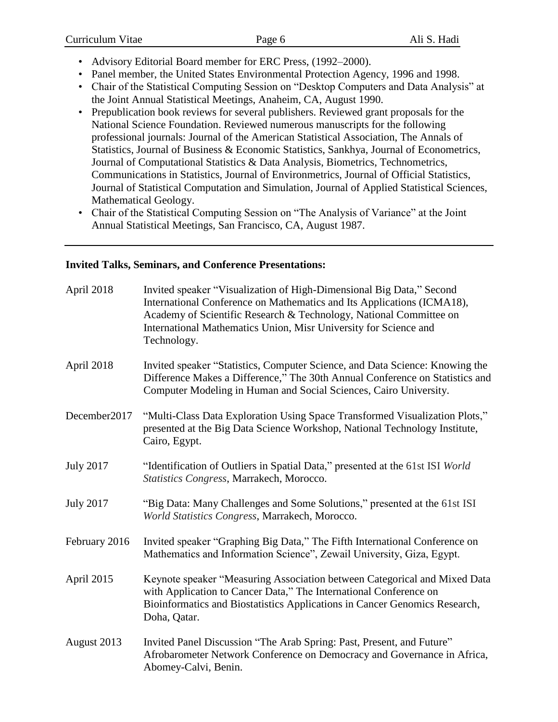| Curriculum Vitae | Page 6 | Ali S. Hadi |
|------------------|--------|-------------|
|------------------|--------|-------------|

- Advisory Editorial Board member for ERC Press, (1992–2000).
- Panel member, the United States Environmental Protection Agency, 1996 and 1998.
- Chair of the Statistical Computing Session on "Desktop Computers and Data Analysis" at the Joint Annual Statistical Meetings, Anaheim, CA, August 1990.
- Prepublication book reviews for several publishers. Reviewed grant proposals for the National Science Foundation. Reviewed numerous manuscripts for the following professional journals: Journal of the American Statistical Association, The Annals of Statistics, Journal of Business & Economic Statistics, Sankhya, Journal of Econometrics, Journal of Computational Statistics & Data Analysis, Biometrics, Technometrics, Communications in Statistics, Journal of Environmetrics, Journal of Official Statistics, Journal of Statistical Computation and Simulation, Journal of Applied Statistical Sciences, Mathematical Geology.
- Chair of the Statistical Computing Session on "The Analysis of Variance" at the Joint Annual Statistical Meetings, San Francisco, CA, August 1987.

#### **Invited Talks, Seminars, and Conference Presentations:**

| April 2018       | Invited speaker "Visualization of High-Dimensional Big Data," Second<br>International Conference on Mathematics and Its Applications (ICMA18),<br>Academy of Scientific Research & Technology, National Committee on<br>International Mathematics Union, Misr University for Science and<br>Technology. |
|------------------|---------------------------------------------------------------------------------------------------------------------------------------------------------------------------------------------------------------------------------------------------------------------------------------------------------|
| April 2018       | Invited speaker "Statistics, Computer Science, and Data Science: Knowing the<br>Difference Makes a Difference," The 30th Annual Conference on Statistics and<br>Computer Modeling in Human and Social Sciences, Cairo University.                                                                       |
| December2017     | "Multi-Class Data Exploration Using Space Transformed Visualization Plots,"<br>presented at the Big Data Science Workshop, National Technology Institute,<br>Cairo, Egypt.                                                                                                                              |
| <b>July 2017</b> | "Identification of Outliers in Spatial Data," presented at the 61st ISI World<br>Statistics Congress, Marrakech, Morocco.                                                                                                                                                                               |
| <b>July 2017</b> | "Big Data: Many Challenges and Some Solutions," presented at the 61st ISI<br>World Statistics Congress, Marrakech, Morocco.                                                                                                                                                                             |
| February 2016    | Invited speaker "Graphing Big Data," The Fifth International Conference on<br>Mathematics and Information Science", Zewail University, Giza, Egypt.                                                                                                                                                     |
| April 2015       | Keynote speaker "Measuring Association between Categorical and Mixed Data<br>with Application to Cancer Data," The International Conference on<br>Bioinformatics and Biostatistics Applications in Cancer Genomics Research,<br>Doha, Qatar.                                                            |
| August 2013      | Invited Panel Discussion "The Arab Spring: Past, Present, and Future"<br>Afrobarometer Network Conference on Democracy and Governance in Africa,<br>Abomey-Calvi, Benin.                                                                                                                                |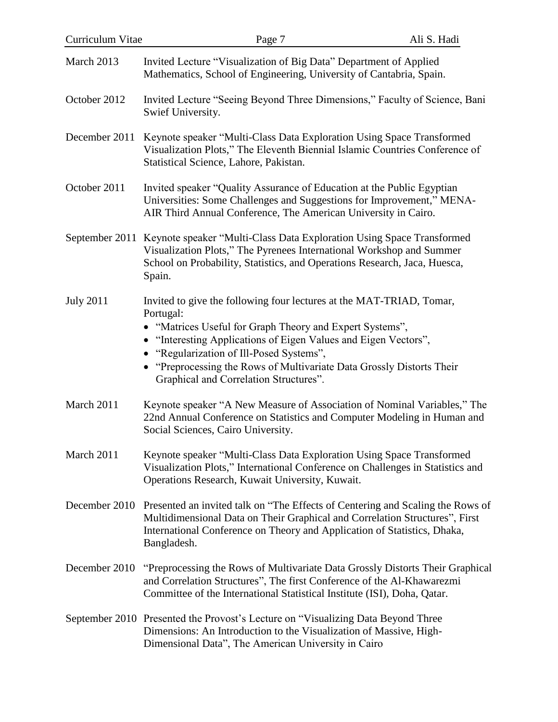| Curriculum Vitae | Page 7                                                                                                                                                                                                                                                                                                                                                                        | Ali S. Hadi |
|------------------|-------------------------------------------------------------------------------------------------------------------------------------------------------------------------------------------------------------------------------------------------------------------------------------------------------------------------------------------------------------------------------|-------------|
| March 2013       | Invited Lecture "Visualization of Big Data" Department of Applied<br>Mathematics, School of Engineering, University of Cantabria, Spain.                                                                                                                                                                                                                                      |             |
| October 2012     | Invited Lecture "Seeing Beyond Three Dimensions," Faculty of Science, Bani<br>Swief University.                                                                                                                                                                                                                                                                               |             |
| December 2011    | Keynote speaker "Multi-Class Data Exploration Using Space Transformed<br>Visualization Plots," The Eleventh Biennial Islamic Countries Conference of<br>Statistical Science, Lahore, Pakistan.                                                                                                                                                                                |             |
| October 2011     | Invited speaker "Quality Assurance of Education at the Public Egyptian<br>Universities: Some Challenges and Suggestions for Improvement," MENA-<br>AIR Third Annual Conference, The American University in Cairo.                                                                                                                                                             |             |
|                  | September 2011 Keynote speaker "Multi-Class Data Exploration Using Space Transformed<br>Visualization Plots," The Pyrenees International Workshop and Summer<br>School on Probability, Statistics, and Operations Research, Jaca, Huesca,<br>Spain.                                                                                                                           |             |
| <b>July 2011</b> | Invited to give the following four lectures at the MAT-TRIAD, Tomar,<br>Portugal:<br>• "Matrices Useful for Graph Theory and Expert Systems",<br>• "Interesting Applications of Eigen Values and Eigen Vectors",<br>• "Regularization of Ill-Posed Systems",<br>"Preprocessing the Rows of Multivariate Data Grossly Distorts Their<br>Graphical and Correlation Structures". |             |
| March 2011       | Keynote speaker "A New Measure of Association of Nominal Variables," The<br>22nd Annual Conference on Statistics and Computer Modeling in Human and<br>Social Sciences, Cairo University.                                                                                                                                                                                     |             |
| March 2011       | Keynote speaker "Multi-Class Data Exploration Using Space Transformed<br>Visualization Plots," International Conference on Challenges in Statistics and<br>Operations Research, Kuwait University, Kuwait.                                                                                                                                                                    |             |
| December 2010    | Presented an invited talk on "The Effects of Centering and Scaling the Rows of<br>Multidimensional Data on Their Graphical and Correlation Structures", First<br>International Conference on Theory and Application of Statistics, Dhaka,<br>Bangladesh.                                                                                                                      |             |
| December 2010    | "Preprocessing the Rows of Multivariate Data Grossly Distorts Their Graphical<br>and Correlation Structures", The first Conference of the Al-Khawarezmi<br>Committee of the International Statistical Institute (ISI), Doha, Qatar.                                                                                                                                           |             |
|                  | September 2010 Presented the Provost's Lecture on "Visualizing Data Beyond Three<br>Dimensions: An Introduction to the Visualization of Massive, High-<br>Dimensional Data", The American University in Cairo                                                                                                                                                                 |             |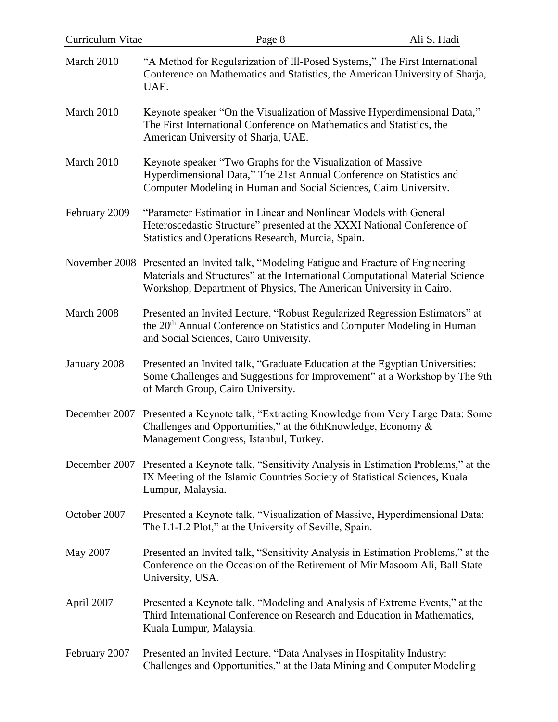| Curriculum Vitae | Page 8                                                                                                                                                                                                                                        | Ali S. Hadi |
|------------------|-----------------------------------------------------------------------------------------------------------------------------------------------------------------------------------------------------------------------------------------------|-------------|
| March 2010       | "A Method for Regularization of Ill-Posed Systems," The First International<br>Conference on Mathematics and Statistics, the American University of Sharja,<br>UAE.                                                                           |             |
| March 2010       | Keynote speaker "On the Visualization of Massive Hyperdimensional Data,"<br>The First International Conference on Mathematics and Statistics, the<br>American University of Sharja, UAE.                                                      |             |
| March 2010       | Keynote speaker "Two Graphs for the Visualization of Massive<br>Hyperdimensional Data," The 21st Annual Conference on Statistics and<br>Computer Modeling in Human and Social Sciences, Cairo University.                                     |             |
| February 2009    | "Parameter Estimation in Linear and Nonlinear Models with General<br>Heteroscedastic Structure" presented at the XXXI National Conference of<br>Statistics and Operations Research, Murcia, Spain.                                            |             |
|                  | November 2008 Presented an Invited talk, "Modeling Fatigue and Fracture of Engineering<br>Materials and Structures" at the International Computational Material Science<br>Workshop, Department of Physics, The American University in Cairo. |             |
| March 2008       | Presented an Invited Lecture, "Robust Regularized Regression Estimators" at<br>the 20 <sup>th</sup> Annual Conference on Statistics and Computer Modeling in Human<br>and Social Sciences, Cairo University.                                  |             |
| January 2008     | Presented an Invited talk, "Graduate Education at the Egyptian Universities:<br>Some Challenges and Suggestions for Improvement" at a Workshop by The 9th<br>of March Group, Cairo University.                                                |             |
|                  | December 2007 Presented a Keynote talk, "Extracting Knowledge from Very Large Data: Some<br>Challenges and Opportunities," at the 6thKnowledge, Economy &<br>Management Congress, Istanbul, Turkey.                                           |             |
| December 2007    | Presented a Keynote talk, "Sensitivity Analysis in Estimation Problems," at the<br>IX Meeting of the Islamic Countries Society of Statistical Sciences, Kuala<br>Lumpur, Malaysia.                                                            |             |
| October 2007     | Presented a Keynote talk, "Visualization of Massive, Hyperdimensional Data:<br>The L1-L2 Plot," at the University of Seville, Spain.                                                                                                          |             |
| May 2007         | Presented an Invited talk, "Sensitivity Analysis in Estimation Problems," at the<br>Conference on the Occasion of the Retirement of Mir Masoom Ali, Ball State<br>University, USA.                                                            |             |
| April 2007       | Presented a Keynote talk, "Modeling and Analysis of Extreme Events," at the<br>Third International Conference on Research and Education in Mathematics,<br>Kuala Lumpur, Malaysia.                                                            |             |
| February 2007    | Presented an Invited Lecture, "Data Analyses in Hospitality Industry:<br>Challenges and Opportunities," at the Data Mining and Computer Modeling                                                                                              |             |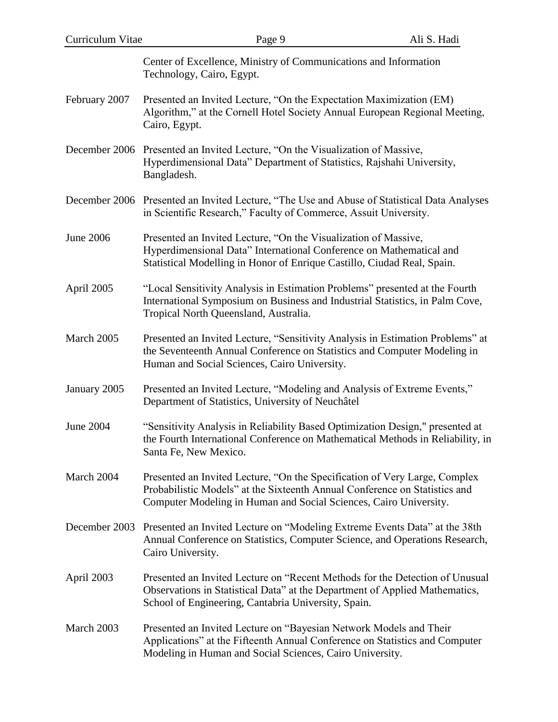| Curriculum Vitae | Page 9                                                                                                                                                                                                                        | Ali S. Hadi |
|------------------|-------------------------------------------------------------------------------------------------------------------------------------------------------------------------------------------------------------------------------|-------------|
|                  | Center of Excellence, Ministry of Communications and Information<br>Technology, Cairo, Egypt.                                                                                                                                 |             |
| February 2007    | Presented an Invited Lecture, "On the Expectation Maximization (EM)<br>Algorithm," at the Cornell Hotel Society Annual European Regional Meeting,<br>Cairo, Egypt.                                                            |             |
| December 2006    | Presented an Invited Lecture, "On the Visualization of Massive,<br>Hyperdimensional Data" Department of Statistics, Rajshahi University,<br>Bangladesh.                                                                       |             |
|                  | December 2006 Presented an Invited Lecture, "The Use and Abuse of Statistical Data Analyses<br>in Scientific Research," Faculty of Commerce, Assuit University.                                                               |             |
| <b>June 2006</b> | Presented an Invited Lecture, "On the Visualization of Massive,<br>Hyperdimensional Data" International Conference on Mathematical and<br>Statistical Modelling in Honor of Enrique Castillo, Ciudad Real, Spain.             |             |
| April 2005       | "Local Sensitivity Analysis in Estimation Problems" presented at the Fourth<br>International Symposium on Business and Industrial Statistics, in Palm Cove,<br>Tropical North Queensland, Australia.                          |             |
| March 2005       | Presented an Invited Lecture, "Sensitivity Analysis in Estimation Problems" at<br>the Seventeenth Annual Conference on Statistics and Computer Modeling in<br>Human and Social Sciences, Cairo University.                    |             |
| January 2005     | Presented an Invited Lecture, "Modeling and Analysis of Extreme Events,"<br>Department of Statistics, University of Neuchâtel                                                                                                 |             |
| <b>June 2004</b> | "Sensitivity Analysis in Reliability Based Optimization Design," presented at<br>the Fourth International Conference on Mathematical Methods in Reliability, in<br>Santa Fe, New Mexico.                                      |             |
| March 2004       | Presented an Invited Lecture, "On the Specification of Very Large, Complex<br>Probabilistic Models" at the Sixteenth Annual Conference on Statistics and<br>Computer Modeling in Human and Social Sciences, Cairo University. |             |
| December 2003    | Presented an Invited Lecture on "Modeling Extreme Events Data" at the 38th<br>Annual Conference on Statistics, Computer Science, and Operations Research,<br>Cairo University.                                                |             |
| April 2003       | Presented an Invited Lecture on "Recent Methods for the Detection of Unusual<br>Observations in Statistical Data" at the Department of Applied Mathematics,<br>School of Engineering, Cantabria University, Spain.            |             |
| March 2003       | Presented an Invited Lecture on "Bayesian Network Models and Their<br>Applications" at the Fifteenth Annual Conference on Statistics and Computer<br>Modeling in Human and Social Sciences, Cairo University.                 |             |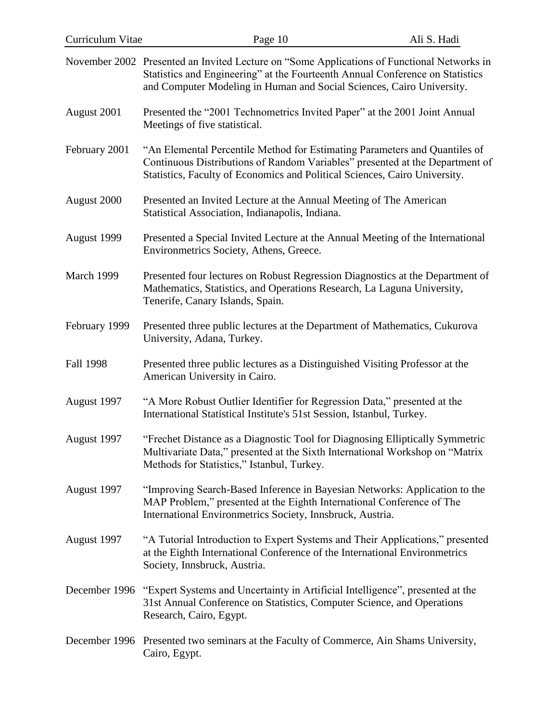| Curriculum Vitae | Page 10                                                                                                                                                                                                                                              | Ali S. Hadi |
|------------------|------------------------------------------------------------------------------------------------------------------------------------------------------------------------------------------------------------------------------------------------------|-------------|
|                  | November 2002 Presented an Invited Lecture on "Some Applications of Functional Networks in<br>Statistics and Engineering" at the Fourteenth Annual Conference on Statistics<br>and Computer Modeling in Human and Social Sciences, Cairo University. |             |
| August 2001      | Presented the "2001 Technometrics Invited Paper" at the 2001 Joint Annual<br>Meetings of five statistical.                                                                                                                                           |             |
| February 2001    | "An Elemental Percentile Method for Estimating Parameters and Quantiles of<br>Continuous Distributions of Random Variables" presented at the Department of<br>Statistics, Faculty of Economics and Political Sciences, Cairo University.             |             |
| August 2000      | Presented an Invited Lecture at the Annual Meeting of The American<br>Statistical Association, Indianapolis, Indiana.                                                                                                                                |             |
| August 1999      | Presented a Special Invited Lecture at the Annual Meeting of the International<br>Environmetrics Society, Athens, Greece.                                                                                                                            |             |
| March 1999       | Presented four lectures on Robust Regression Diagnostics at the Department of<br>Mathematics, Statistics, and Operations Research, La Laguna University,<br>Tenerife, Canary Islands, Spain.                                                         |             |
| February 1999    | Presented three public lectures at the Department of Mathematics, Cukurova<br>University, Adana, Turkey.                                                                                                                                             |             |
| Fall 1998        | Presented three public lectures as a Distinguished Visiting Professor at the<br>American University in Cairo.                                                                                                                                        |             |
| August 1997      | "A More Robust Outlier Identifier for Regression Data," presented at the<br>International Statistical Institute's 51st Session, Istanbul, Turkey.                                                                                                    |             |
| August 1997      | "Frechet Distance as a Diagnostic Tool for Diagnosing Elliptically Symmetric<br>Multivariate Data," presented at the Sixth International Workshop on "Matrix<br>Methods for Statistics," Istanbul, Turkey.                                           |             |
| August 1997      | "Improving Search-Based Inference in Bayesian Networks: Application to the<br>MAP Problem," presented at the Eighth International Conference of The<br>International Environmetrics Society, Innsbruck, Austria.                                     |             |
| August 1997      | "A Tutorial Introduction to Expert Systems and Their Applications," presented<br>at the Eighth International Conference of the International Environmetrics<br>Society, Innsbruck, Austria.                                                          |             |
|                  | December 1996 "Expert Systems and Uncertainty in Artificial Intelligence", presented at the<br>31st Annual Conference on Statistics, Computer Science, and Operations<br>Research, Cairo, Egypt.                                                     |             |
|                  | December 1996 Presented two seminars at the Faculty of Commerce, Ain Shams University,<br>Cairo, Egypt.                                                                                                                                              |             |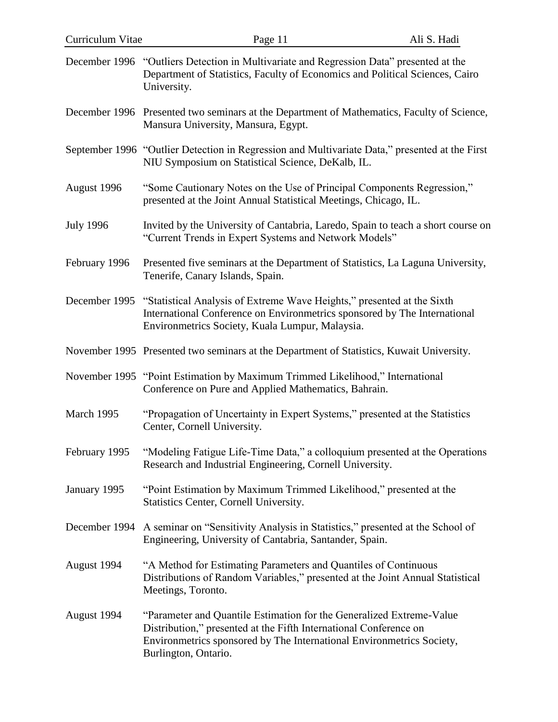| Curriculum Vitae | Page 11                                                                                                                                                                                                                                    | Ali S. Hadi |
|------------------|--------------------------------------------------------------------------------------------------------------------------------------------------------------------------------------------------------------------------------------------|-------------|
|                  | December 1996 "Outliers Detection in Multivariate and Regression Data" presented at the<br>Department of Statistics, Faculty of Economics and Political Sciences, Cairo<br>University.                                                     |             |
|                  | December 1996 Presented two seminars at the Department of Mathematics, Faculty of Science,<br>Mansura University, Mansura, Egypt.                                                                                                          |             |
|                  | September 1996 "Outlier Detection in Regression and Multivariate Data," presented at the First<br>NIU Symposium on Statistical Science, DeKalb, IL.                                                                                        |             |
| August 1996      | "Some Cautionary Notes on the Use of Principal Components Regression,"<br>presented at the Joint Annual Statistical Meetings, Chicago, IL.                                                                                                 |             |
| <b>July 1996</b> | Invited by the University of Cantabria, Laredo, Spain to teach a short course on<br>"Current Trends in Expert Systems and Network Models"                                                                                                  |             |
| February 1996    | Presented five seminars at the Department of Statistics, La Laguna University,<br>Tenerife, Canary Islands, Spain.                                                                                                                         |             |
|                  | December 1995 "Statistical Analysis of Extreme Wave Heights," presented at the Sixth<br>International Conference on Environmetrics sponsored by The International<br>Environmetrics Society, Kuala Lumpur, Malaysia.                       |             |
|                  | November 1995 Presented two seminars at the Department of Statistics, Kuwait University.                                                                                                                                                   |             |
|                  | November 1995 "Point Estimation by Maximum Trimmed Likelihood," International<br>Conference on Pure and Applied Mathematics, Bahrain.                                                                                                      |             |
| March 1995       | "Propagation of Uncertainty in Expert Systems," presented at the Statistics<br>Center, Cornell University.                                                                                                                                 |             |
| February 1995    | "Modeling Fatigue Life-Time Data," a colloquium presented at the Operations<br>Research and Industrial Engineering, Cornell University.                                                                                                    |             |
| January 1995     | "Point Estimation by Maximum Trimmed Likelihood," presented at the<br>Statistics Center, Cornell University.                                                                                                                               |             |
| December 1994    | A seminar on "Sensitivity Analysis in Statistics," presented at the School of<br>Engineering, University of Cantabria, Santander, Spain.                                                                                                   |             |
| August 1994      | "A Method for Estimating Parameters and Quantiles of Continuous<br>Distributions of Random Variables," presented at the Joint Annual Statistical<br>Meetings, Toronto.                                                                     |             |
| August 1994      | "Parameter and Quantile Estimation for the Generalized Extreme-Value<br>Distribution," presented at the Fifth International Conference on<br>Environmetrics sponsored by The International Environmetrics Society,<br>Burlington, Ontario. |             |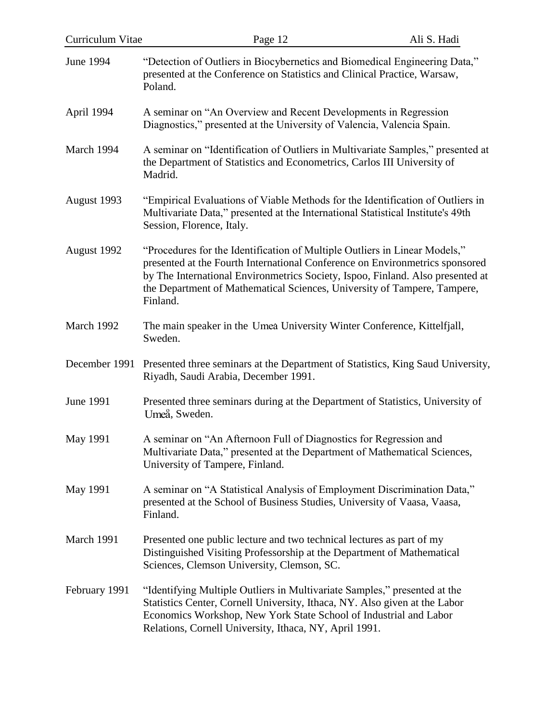| Curriculum Vitae | Page 12                                                                                                                                                                                                                                                                                                                              | Ali S. Hadi |
|------------------|--------------------------------------------------------------------------------------------------------------------------------------------------------------------------------------------------------------------------------------------------------------------------------------------------------------------------------------|-------------|
| <b>June 1994</b> | "Detection of Outliers in Biocybernetics and Biomedical Engineering Data,"<br>presented at the Conference on Statistics and Clinical Practice, Warsaw,<br>Poland.                                                                                                                                                                    |             |
| April 1994       | A seminar on "An Overview and Recent Developments in Regression<br>Diagnostics," presented at the University of Valencia, Valencia Spain.                                                                                                                                                                                            |             |
| March 1994       | A seminar on "Identification of Outliers in Multivariate Samples," presented at<br>the Department of Statistics and Econometrics, Carlos III University of<br>Madrid.                                                                                                                                                                |             |
| August 1993      | "Empirical Evaluations of Viable Methods for the Identification of Outliers in<br>Multivariate Data," presented at the International Statistical Institute's 49th<br>Session, Florence, Italy.                                                                                                                                       |             |
| August 1992      | "Procedures for the Identification of Multiple Outliers in Linear Models,"<br>presented at the Fourth International Conference on Environmetrics sponsored<br>by The International Environmetrics Society, Ispoo, Finland. Also presented at<br>the Department of Mathematical Sciences, University of Tampere, Tampere,<br>Finland. |             |
| March 1992       | The main speaker in the Umea University Winter Conference, Kittelfjall,<br>Sweden.                                                                                                                                                                                                                                                   |             |
| December 1991    | Presented three seminars at the Department of Statistics, King Saud University,<br>Riyadh, Saudi Arabia, December 1991.                                                                                                                                                                                                              |             |
| <b>June 1991</b> | Presented three seminars during at the Department of Statistics, University of<br>Umeå, Sweden.                                                                                                                                                                                                                                      |             |
| <b>May 1991</b>  | A seminar on "An Afternoon Full of Diagnostics for Regression and<br>Multivariate Data," presented at the Department of Mathematical Sciences,<br>University of Tampere, Finland.                                                                                                                                                    |             |
| May 1991         | A seminar on "A Statistical Analysis of Employment Discrimination Data,"<br>presented at the School of Business Studies, University of Vaasa, Vaasa,<br>Finland.                                                                                                                                                                     |             |
| March 1991       | Presented one public lecture and two technical lectures as part of my<br>Distinguished Visiting Professorship at the Department of Mathematical<br>Sciences, Clemson University, Clemson, SC.                                                                                                                                        |             |
| February 1991    | "Identifying Multiple Outliers in Multivariate Samples," presented at the<br>Statistics Center, Cornell University, Ithaca, NY. Also given at the Labor<br>Economics Workshop, New York State School of Industrial and Labor<br>Relations, Cornell University, Ithaca, NY, April 1991.                                               |             |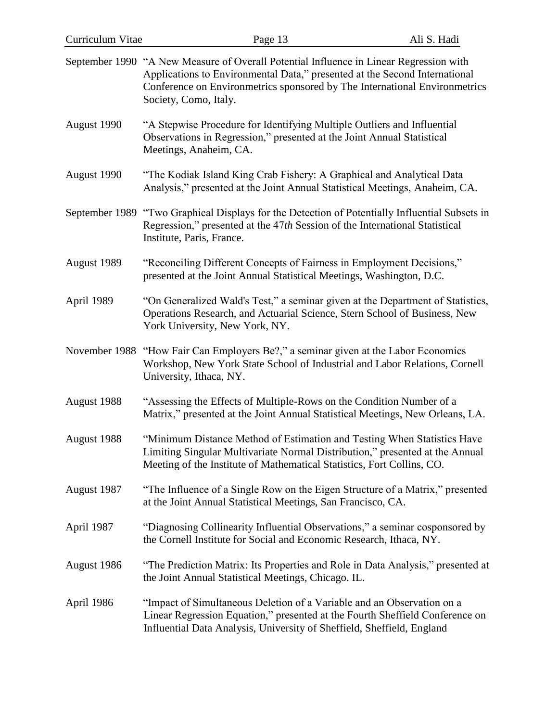| Curriculum Vitae | Page 13                                                                                                                                                                                                                                                      | Ali S. Hadi |
|------------------|--------------------------------------------------------------------------------------------------------------------------------------------------------------------------------------------------------------------------------------------------------------|-------------|
| September 1990   | "A New Measure of Overall Potential Influence in Linear Regression with<br>Applications to Environmental Data," presented at the Second International<br>Conference on Environmetrics sponsored by The International Environmetrics<br>Society, Como, Italy. |             |
| August 1990      | "A Stepwise Procedure for Identifying Multiple Outliers and Influential<br>Observations in Regression," presented at the Joint Annual Statistical<br>Meetings, Anaheim, CA.                                                                                  |             |
| August 1990      | "The Kodiak Island King Crab Fishery: A Graphical and Analytical Data<br>Analysis," presented at the Joint Annual Statistical Meetings, Anaheim, CA.                                                                                                         |             |
|                  | September 1989 "Two Graphical Displays for the Detection of Potentially Influential Subsets in<br>Regression," presented at the 47th Session of the International Statistical<br>Institute, Paris, France.                                                   |             |
| August 1989      | "Reconciling Different Concepts of Fairness in Employment Decisions,"<br>presented at the Joint Annual Statistical Meetings, Washington, D.C.                                                                                                                |             |
| April 1989       | "On Generalized Wald's Test," a seminar given at the Department of Statistics,<br>Operations Research, and Actuarial Science, Stern School of Business, New<br>York University, New York, NY.                                                                |             |
|                  | November 1988 "How Fair Can Employers Be?," a seminar given at the Labor Economics<br>Workshop, New York State School of Industrial and Labor Relations, Cornell<br>University, Ithaca, NY.                                                                  |             |
| August 1988      | "Assessing the Effects of Multiple-Rows on the Condition Number of a<br>Matrix," presented at the Joint Annual Statistical Meetings, New Orleans, LA.                                                                                                        |             |
| August 1988      | "Minimum Distance Method of Estimation and Testing When Statistics Have<br>Limiting Singular Multivariate Normal Distribution," presented at the Annual<br>Meeting of the Institute of Mathematical Statistics, Fort Collins, CO.                            |             |
| August 1987      | "The Influence of a Single Row on the Eigen Structure of a Matrix," presented<br>at the Joint Annual Statistical Meetings, San Francisco, CA.                                                                                                                |             |
| April 1987       | "Diagnosing Collinearity Influential Observations," a seminar cosponsored by<br>the Cornell Institute for Social and Economic Research, Ithaca, NY.                                                                                                          |             |
| August 1986      | "The Prediction Matrix: Its Properties and Role in Data Analysis," presented at<br>the Joint Annual Statistical Meetings, Chicago. IL.                                                                                                                       |             |
| April 1986       | "Impact of Simultaneous Deletion of a Variable and an Observation on a<br>Linear Regression Equation," presented at the Fourth Sheffield Conference on<br>Influential Data Analysis, University of Sheffield, Sheffield, England                             |             |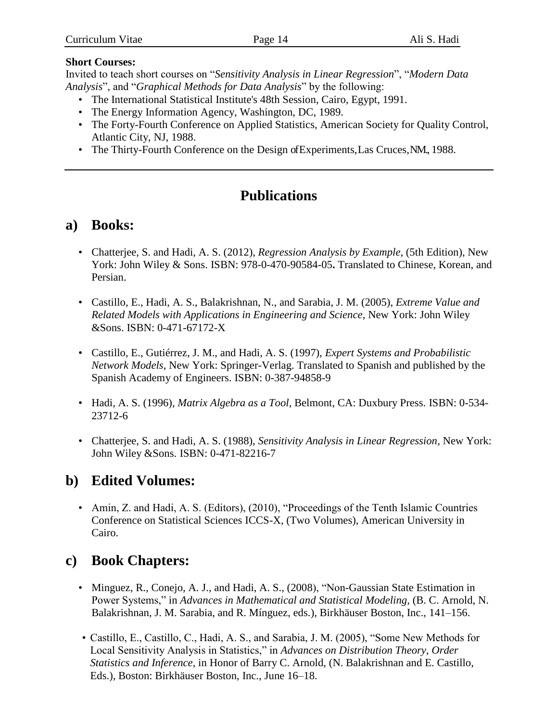#### **Short Courses:**

Invited to teach short courses on "*Sensitivity Analysis in Linear Regression*", "*Modern Data Analysis*", and "*Graphical Methods for Data Analysis*" by the following:

- The International Statistical Institute's 48th Session, Cairo, Egypt, 1991.
- The Energy Information Agency, Washington, DC, 1989.
- The Forty-Fourth Conference on Applied Statistics, American Society for Quality Control, Atlantic City, NJ, 1988.
- The Thirty-Fourth Conference on the Design ofExperiments,Las Cruces, NM., 1988.

# **Publications**

## **a) Books:**

- Chatterjee, S. and Hadi, A. S. (2012), *Regression Analysis by Example*, (5th Edition), New York: John Wiley & Sons. ISBN: 978-0-470-90584-05**.** Translated to Chinese, Korean, and Persian.
- Castillo, E., Hadi, A. S., Balakrishnan, N., and Sarabia, J. M. (2005), *Extreme Value and Related Models with Applications in Engineering and Science*, New York: John Wiley &Sons. ISBN: 0-471-67172-X
- Castillo, E., Gutiérrez, J. M., and Hadi, A. S. (1997), *Expert Systems and Probabilistic Network Models*, New York: Springer-Verlag. Translated to Spanish and published by the Spanish Academy of Engineers. ISBN: 0-387-94858-9
- Hadi, A. S. (1996), *Matrix Algebra as a Tool*, Belmont, CA: Duxbury Press. ISBN: 0-534- 23712-6
- Chatterjee, S. and Hadi, A. S. (1988), *Sensitivity Analysis in Linear Regression*, New York: John Wiley &Sons. ISBN: 0-471-82216-7

# **b) Edited Volumes:**

• Amin, Z. and Hadi, A. S. (Editors), (2010), "Proceedings of the Tenth Islamic Countries Conference on Statistical Sciences ICCS-X, (Two Volumes), American University in Cairo.

# **c) Book Chapters:**

- Minguez, R., Conejo, A. J., and Hadi, A. S., (2008), "Non-Gaussian State Estimation in Power Systems," in *Advances in Mathematical and Statistical Modeling*, (B. C. Arnold, N. Balakrishnan, J. M. Sarabia, and R. Mínguez, eds.), Birkhäuser Boston, Inc., 141–156.
- Castillo, E., Castillo, C., Hadi, A. S., and Sarabia, J. M. (2005), "Some New Methods for Local Sensitivity Analysis in Statistics," in *Advances on Distribution Theory, Order Statistics and Inference*, in Honor of Barry C. Arnold, (N. Balakrishnan and E. Castillo, Eds.), Boston: Birkhäuser Boston, Inc., June 16–18.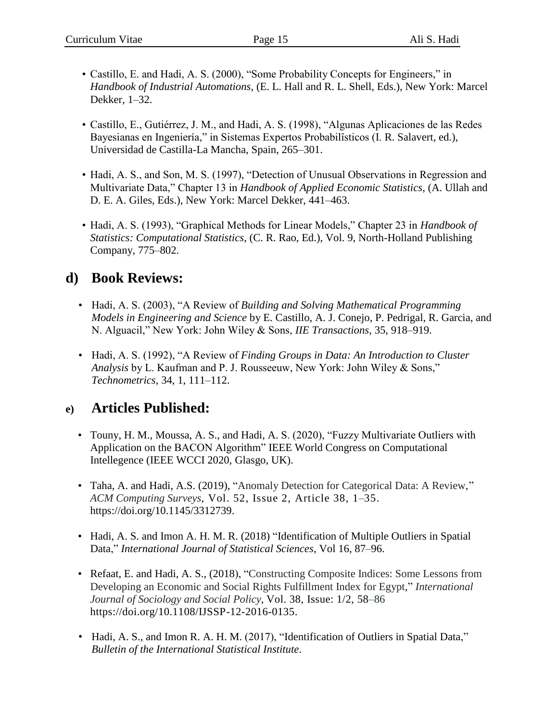- Castillo, E. and Hadi, A. S. (2000), "Some Probability Concepts for Engineers," in *Handbook of Industrial Automations*, (E. L. Hall and R. L. Shell, Eds.), New York: Marcel Dekker, 1–32.
- Castillo, E., Gutiérrez, J. M., and Hadi, A. S. (1998), "Algunas Aplicaciones de las Redes Bayesianas en Ingeniería," in Sistemas Expertos Probabilîsticos (I. R. Salavert, ed.), Universidad de Castilla-La Mancha, Spain, 265–301.
- Hadi, A. S., and Son, M. S. (1997), "Detection of Unusual Observations in Regression and Multivariate Data," Chapter 13 in *Handbook of Applied Economic Statistics*, (A. Ullah and D. E. A. Giles, Eds.), New York: Marcel Dekker, 441–463.
- Hadi, A. S. (1993), "Graphical Methods for Linear Models," Chapter 23 in *Handbook of Statistics: Computational Statistics*, (C. R. Rao, Ed.), Vol. 9, North-Holland Publishing Company, 775–802.

# **d) Book Reviews:**

- Hadi, A. S. (2003), "A Review of *Building and Solving Mathematical Programming Models in Engineering and Science* by E. Castillo, A. J. Conejo, P. Pedrigal, R. Garcia, and N. Alguacil," New York: John Wiley & Sons, *IIE Transactions*, 35, 918–919.
- Hadi, A. S. (1992), "A Review of *Finding Groups in Data: An Introduction to Cluster Analysis* by L. Kaufman and P. J. Rousseeuw, New York: John Wiley & Sons," *Technometrics*, 34, 1, 111–112.

## **e) Articles Published:**

- Touny, H. M., Moussa, A. S., and Hadi, A. S. (2020), "Fuzzy Multivariate Outliers with Application on the BACON Algorithm" IEEE World Congress on Computational Intellegence (IEEE WCCI 2020, Glasgo, UK).
- Taha, A. and Hadi, A.S. (2019), "Anomaly Detection for Categorical Data: A Review," *ACM Computing Surveys*, Vol. 52, Issue 2, Article 38, 1–35. https://doi.org[/10.1145/3312739.](https://doi.org/10.1145/3312739)
- Hadi, A. S. and Imon A. H. M. R. (2018) "Identification of Multiple Outliers in Spatial Data," *International Journal of Statistical Sciences*, Vol 16, 87–96.
- Refaat, E. and Hadi, A. S., (2018), "Constructing Composite Indices: Some Lessons from Developing an Economic and Social Rights Fulfillment Index for Egypt," *International Journal of Sociology and Social Policy*, Vol. 38, Issue: 1/2, 58–86 [https://doi.org/10.1108/IJSSP-12-2016-0135.](https://doi.org/10.1108/IJSSP-12-2016-0135)
- Hadi, A. S., and Imon R. A. H. M. (2017), "Identification of Outliers in Spatial Data," *Bulletin of the International Statistical Institute*.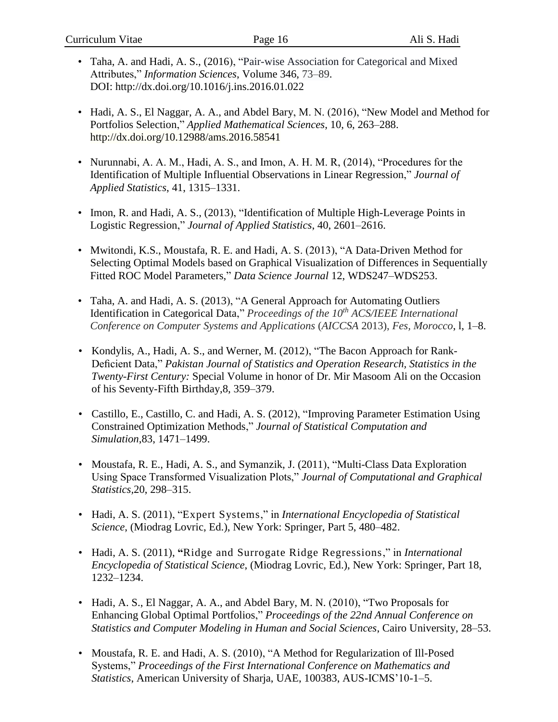- Taha, A. and Hadi, A. S., (2016), "Pair-wise Association for Categorical and Mixed Attributes," *Information Sciences*, Volume 346, 73–89. DOI: <http://dx.doi.org/10.1016/j.ins.2016.01.022>
- Hadi, A. S., El Naggar, A. A., and Abdel Bary, M. N. (2016), "New Model and Method for Portfolios Selection," *Applied Mathematical Sciences*, 10, 6, 263–288. <http://dx.doi.org/10.12988/ams.2016.58541>
- Nurunnabi, A. A. M., Hadi, A. S., and Imon, A. H. M. R, (2014), "Procedures for the Identification of Multiple Influential Observations in Linear Regression," *Journal of Applied Statistics*, 41, 1315–1331.
- Imon, R. and Hadi, A. S., (2013), "Identification of Multiple High-Leverage Points in Logistic Regression," *Journal of Applied Statistics*, 40, 2601–2616.
- Mwitondi, K.S., Moustafa, R. E. and Hadi, A. S. (2013), ["A Data-Driven Method for](https://scholar.google.com/citations?view_op=view_citation&hl=en&user=-8xAh5IAAAAJ&sortby=pubdate&citation_for_view=-8xAh5IAAAAJ:SP6oXDckpogC)  [Selecting Optimal Models based on Graphical Visualization of Differences in Sequentially](https://scholar.google.com/citations?view_op=view_citation&hl=en&user=-8xAh5IAAAAJ&sortby=pubdate&citation_for_view=-8xAh5IAAAAJ:SP6oXDckpogC)  [Fitted ROC Model Parameters,](https://scholar.google.com/citations?view_op=view_citation&hl=en&user=-8xAh5IAAAAJ&sortby=pubdate&citation_for_view=-8xAh5IAAAAJ:SP6oXDckpogC)" *Data Science Journal* 12, WDS247–WDS253.
- Taha, A. and Hadi, A. S. (2013), "A General Approach for Automating Outliers Identification in Categorical Data," *Proceedings of the 10th ACS/IEEE International Conference on Computer Systems and Applications* (*AICCSA* 2013), *Fes, Morocco*, l, 1–8.
- Kondylis, A., Hadi, A. S., and Werner, M. (2012), "The Bacon Approach for Rank-Deficient Data," *Pakistan Journal of Statistics and Operation Research, Statistics in the Twenty-First Century:* Special Volume in honor of Dr. Mir Masoom Ali on the Occasion of his Seventy-Fifth Birthday,8, 359–379.
- Castillo, E., Castillo, C. and Hadi, A. S. (2012), "Improving Parameter Estimation Using Constrained Optimization Methods," *Journal of Statistical Computation and Simulation*,83, 1471–1499.
- Moustafa, R. E., Hadi, A. S., and Symanzik, J. (2011), "Multi-Class Data Exploration Using Space Transformed Visualization Plots," *Journal of Computational and Graphical Statistics,*20, 298–315.
- Hadi, A. S. (2011), "Expert Systems," in *International Encyclopedia of Statistical Science*, (Miodrag Lovric, Ed.), New York: Springer, Part 5, 480–482.
- Hadi, A. S. (2011), **"**Ridge and Surrogate Ridge Regressions," in *International Encyclopedia of Statistical Science*, (Miodrag Lovric, Ed.), New York: Springer, Part 18, 1232–1234.
- Hadi, A. S., El Naggar, A. A., and Abdel Bary, M. N. (2010), "Two Proposals for Enhancing Global Optimal Portfolios," *Proceedings of the 22nd Annual Conference on Statistics and Computer Modeling in Human and Social Sciences*, Cairo University, 28–53.
- Moustafa, R. E. and Hadi, A. S. (2010), "A Method for Regularization of Ill-Posed Systems," *Proceedings of the First International Conference on Mathematics and Statistics*, American University of Sharja, UAE, 100383, AUS-ICMS'10-1–5.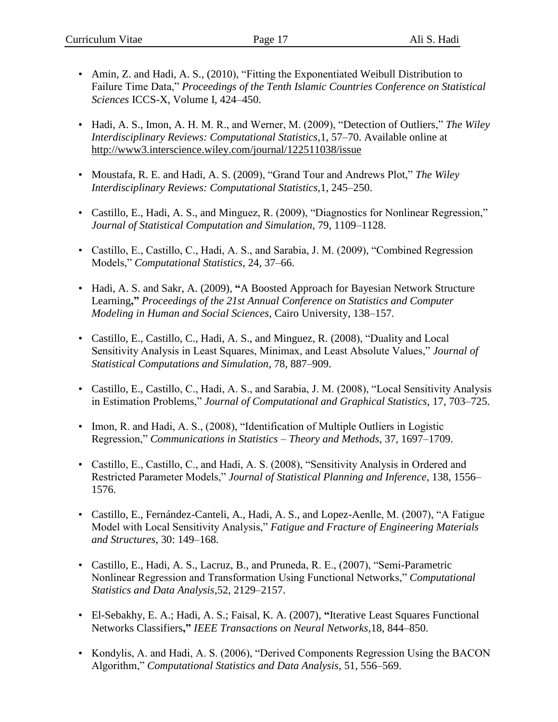- Amin, Z. and Hadi, A. S., (2010), "Fitting the Exponentiated Weibull Distribution to Failure Time Data," *Proceedings of the Tenth Islamic Countries Conference on Statistical Sciences* ICCS-X, Volume I, 424–450.
- Hadi, A. S., Imon, A. H. M. R., and Werner, M. (2009), "Detection of Outliers," *The Wiley Interdisciplinary Reviews: Computational Statistics,*1, 57–70. Available online at <http://www3.interscience.wiley.com/journal/122511038/issue>
- Moustafa, R. E. and Hadi, A. S. (2009), "Grand Tour and Andrews Plot," *The Wiley Interdisciplinary Reviews: Computational Statistics,*1, 245–250.
- Castillo, E., Hadi, A. S., and Minguez, R. (2009), "Diagnostics for Nonlinear Regression," *Journal of Statistical Computation and Simulation*, 79, 1109–1128.
- Castillo, E., Castillo, C., Hadi, A. S., and Sarabia, J. M. (2009), "Combined Regression Models," *Computational Statistics*, 24, 37–66.
- Hadi, A. S. and Sakr, A. (2009), **"**A Boosted Approach for Bayesian Network Structure Learning**,"** *Proceedings of the 21st Annual Conference on Statistics and Computer Modeling in Human and Social Sciences*, Cairo University, 138–157.
- Castillo, E., Castillo, C., Hadi, A. S., and Minguez, R. (2008), "Duality and Local Sensitivity Analysis in Least Squares, Minimax, and Least Absolute Values," *Journal of Statistical Computations and Simulation*, 78, 887–909.
- Castillo, E., Castillo, C., Hadi, A. S., and Sarabia, J. M. (2008), "Local Sensitivity Analysis in Estimation Problems," *Journal of Computational and Graphical Statistics*, 17, 703–725.
- Imon, R. and Hadi, A. S., (2008), "Identification of Multiple Outliers in Logistic Regression," *Communications in Statistics – Theory and Methods*, 37, 1697–1709.
- Castillo, E., Castillo, C., and Hadi, A. S. (2008), "Sensitivity Analysis in Ordered and Restricted Parameter Models," *Journal of Statistical Planning and Inference*, 138, 1556– 1576.
- Castillo, E., Fernández-Canteli, A., Hadi, A. S., and Lopez-Aenlle, M. (2007), "A Fatigue Model with Local Sensitivity Analysis," *Fatigue and Fracture of Engineering Materials and Structures*, 30: 149–168.
- Castillo, E., Hadi, A. S., Lacruz, B., and Pruneda, R. E., (2007), "Semi-Parametric Nonlinear Regression and Transformation Using Functional Networks," *Computational Statistics and Data Analysis*,52, 2129–2157.
- El-Sebakhy, E. A.; Hadi, A. S.; Faisal, K. A. (2007), **"**Iterative Least Squares Functional Networks Classifiers**,"** *IEEE Transactions on Neural Networks*,18, 844–850.
- Kondylis, A. and Hadi, A. S. (2006), "Derived Components Regression Using the BACON Algorithm," *Computational Statistics and Data Analysis*, 51, 556–569.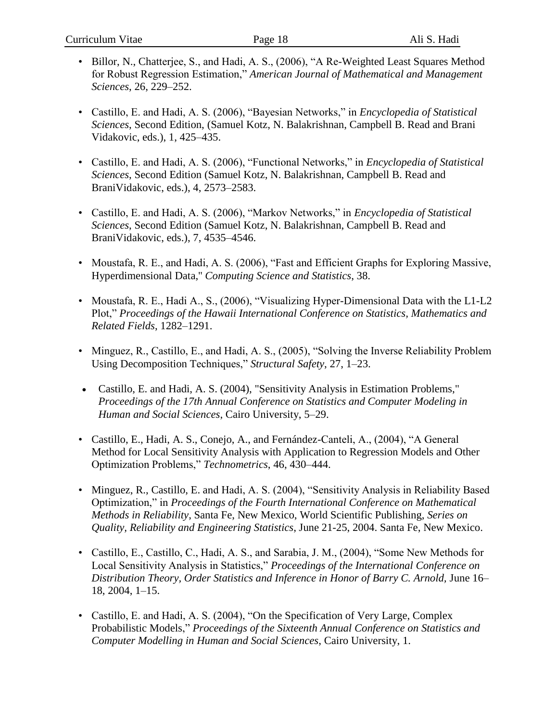- Billor, N., Chatterjee, S., and Hadi, A. S., (2006), "A Re-Weighted Least Squares Method for Robust Regression Estimation," *American Journal of Mathematical and Management Sciences*, 26, 229–252.
- Castillo, E. and Hadi, A. S. (2006), "Bayesian Networks," in *Encyclopedia of Statistical Sciences*, Second Edition, (Samuel Kotz, N. Balakrishnan, Campbell B. Read and Brani Vidakovic, eds.), 1, 425–435.
- Castillo, E. and Hadi, A. S. (2006), "Functional Networks," in *Encyclopedia of Statistical Sciences*, Second Edition (Samuel Kotz, N. Balakrishnan, Campbell B. Read and BraniVidakovic, eds.), 4, 2573–2583.
- Castillo, E. and Hadi, A. S. (2006), "Markov Networks," in *Encyclopedia of Statistical Sciences*, Second Edition (Samuel Kotz, N. Balakrishnan, Campbell B. Read and BraniVidakovic, eds.), 7, 4535–4546.
- Moustafa, R. E., and Hadi, A. S. (2006), "Fast and Efficient Graphs for Exploring Massive, Hyperdimensional Data,'' *Computing Science and Statistics*, 38.
- Moustafa, R. E., Hadi A., S., (2006), "Visualizing Hyper-Dimensional Data with the L1-L2 Plot," *Proceedings of the Hawaii International Conference on Statistics, Mathematics and Related Fields*, 1282–1291.
- Minguez, R., Castillo, E., and Hadi, A. S., (2005), "Solving the Inverse Reliability Problem Using Decomposition Techniques," *Structural Safety*, 27, 1–23.
- Castillo, E. and Hadi, A. S. (2004), "Sensitivity Analysis in Estimation Problems," *Proceedings of the 17th Annual Conference on Statistics and Computer Modeling in Human and Social Sciences*, Cairo University, 5–29.
- Castillo, E., Hadi, A. S., Conejo, A., and Fernández-Canteli, A., (2004), "A General Method for Local Sensitivity Analysis with Application to Regression Models and Other Optimization Problems," *Technometrics*, 46, 430–444.
- Minguez, R., Castillo, E. and Hadi, A. S. (2004), "Sensitivity Analysis in Reliability Based Optimization," in *Proceedings of the Fourth International Conference on Mathematical Methods in Reliability*, Santa Fe, New Mexico, World Scientific Publishing, *Series on Quality, Reliability and Engineering Statistics*, June 21-25, 2004. Santa Fe, New Mexico.
- Castillo, E., Castillo, C., Hadi, A. S., and Sarabia, J. M., (2004), "Some New Methods for Local Sensitivity Analysis in Statistics," *Proceedings of the International Conference on Distribution Theory, Order Statistics and Inference in Honor of Barry C. Arnold,* June 16– 18, 2004, 1–15.
- Castillo, E. and Hadi, A. S. (2004), "On the Specification of Very Large, Complex Probabilistic Models," *Proceedings of the Sixteenth Annual Conference on Statistics and Computer Modelling in Human and Social Sciences*, Cairo University, 1.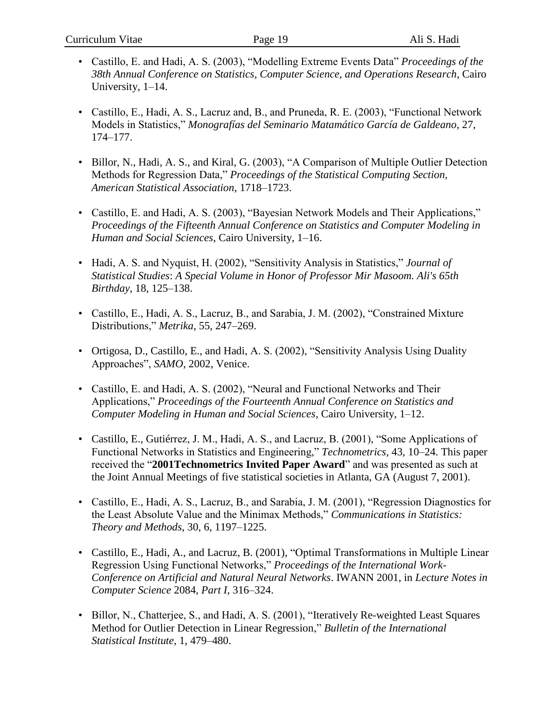- Castillo, E. and Hadi, A. S. (2003), "Modelling Extreme Events Data" *Proceedings of the 38th Annual Conference on Statistics, Computer Science, and Operations Research*, Cairo University, 1–14.
- Castillo, E., Hadi, A. S., Lacruz and, B., and Pruneda, R. E. (2003), "Functional Network Models in Statistics," *Monografías del Seminario Matamático García de Galdeano*, 27, 174–177.
- Billor, N., Hadi, A. S., and Kiral, G. (2003), "A Comparison of Multiple Outlier Detection Methods for Regression Data," *Proceedings of the Statistical Computing Section, American Statistical Association*, 1718–1723.
- Castillo, E. and Hadi, A. S. (2003), "Bayesian Network Models and Their Applications," *Proceedings of the Fifteenth Annual Conference on Statistics and Computer Modeling in Human and Social Sciences*, Cairo University, 1–16.
- Hadi, A. S. and Nyquist, H. (2002), "Sensitivity Analysis in Statistics," *Journal of Statistical Studies*: *A Special Volume in Honor of Professor Mir Masoom. Ali's 65th Birthday*, 18, 125–138.
- Castillo, E., Hadi, A. S., Lacruz, B., and Sarabia, J. M. (2002), "Constrained Mixture Distributions," *Metrika*, 55, 247–269.
- [Ortigosa, D., Castillo,](javascript:visitAuthor(%22D_Ortigosa%20E_Castillo%22)) E., and [Hadi,](javascript:visitAuthor(%22A_S_Hadi%22)) A. S. (2002), "Sensitivity Analysis Using Duality Approaches", *SAMO*, 2002, Venice.
- Castillo, E. and Hadi, A. S. (2002), "Neural and Functional Networks and Their Applications," *Proceedings of the Fourteenth Annual Conference on Statistics and Computer Modeling in Human and Social Sciences*, Cairo University, 1–12.
- Castillo, E., Gutiérrez, J. M., Hadi, A. S., and Lacruz, B. (2001), "Some Applications of Functional Networks in Statistics and Engineering," *Technometrics,* 43, 10–24. This paper received the "**2001Technometrics Invited Paper Award**" and was presented as such at the Joint Annual Meetings of five statistical societies in Atlanta, GA (August 7, 2001).
- Castillo, E., Hadi, A. S., Lacruz, B., and Sarabia, J. M. (2001), "Regression Diagnostics for the Least Absolute Value and the Minimax Methods," *Communications in Statistics: Theory and Methods,* 30, 6, 1197–1225.
- Castillo, E., Hadi, A., and Lacruz, B. (2001), "Optimal Transformations in Multiple Linear Regression Using Functional Networks," *Proceedings of the International Work-Conference on Artificial and Natural Neural Networks*. IWANN 2001, in *Lecture Notes in Computer Science* 2084, *Part I*, 316–324.
- Billor, N., Chatterjee, S., and Hadi, A. S. (2001), "Iteratively Re-weighted Least Squares Method for Outlier Detection in Linear Regression," *Bulletin of the International Statistical Institute,* 1, 479–480.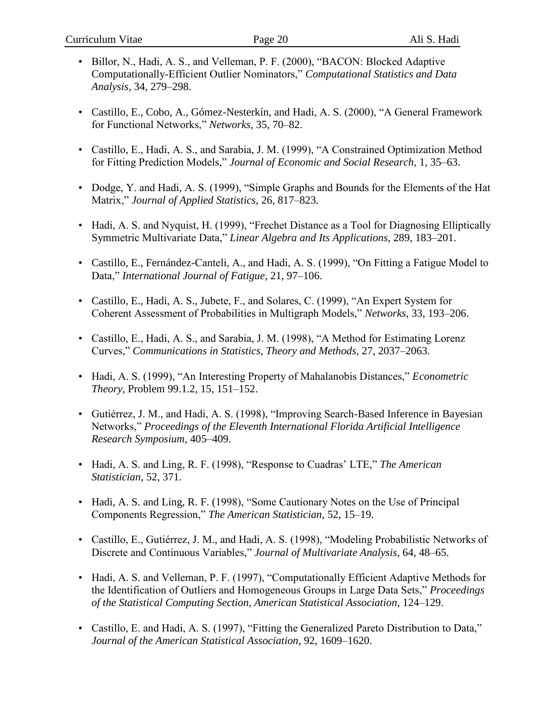- Billor, N., Hadi, A. S., and Velleman, P. F. (2000), "BACON: Blocked Adaptive Computationally-Efficient Outlier Nominators," *Computational Statistics and Data Analysis,* 34, 279–298.
- Castillo, E., Cobo, A., Gómez-Nesterkín, and Hadi, A. S. (2000), "A General Framework for Functional Networks," *Networks*, 35, 70–82.
- Castillo, E., Hadi, A. S., and Sarabia, J. M. (1999), "A Constrained Optimization Method for Fitting Prediction Models," *Journal of Economic and Social Research,* 1, 35–63.
- Dodge, Y. and Hadi, A. S. (1999), "Simple Graphs and Bounds for the Elements of the Hat Matrix," *Journal of Applied Statistics*, 26, 817–823.
- Hadi, A. S. and Nyquist, H. (1999), "Frechet Distance as a Tool for Diagnosing Elliptically Symmetric Multivariate Data," *Linear Algebra and Its Applications*, 289, 183–201.
- Castillo, E., Fernández-Canteli, A., and Hadi, A. S. (1999), "On Fitting a Fatigue Model to Data," *International Journal of Fatigue*, 21, 97–106.
- Castillo, E., Hadi, A. S., Jubete, F., and Solares, C. (1999), "An Expert System for Coherent Assessment of Probabilities in Multigraph Models," *Networks*, 33, 193–206.
- Castillo, E., Hadi, A. S., and Sarabia, J. M. (1998), "A Method for Estimating Lorenz Curves," *Communications in Statistics, Theory and Methods,* 27, 2037–2063*.*
- Hadi, A. S. (1999), "An Interesting Property of Mahalanobis Distances," *Econometric Theory*, Problem 99.1.2, 15, 151–152.
- Gutiérrez, J. M., and Hadi, A. S. (1998), "Improving Search-Based Inference in Bayesian Networks," *Proceedings of the Eleventh International Florida Artificial Intelligence Research Symposium,* 405–409*.*
- Hadi, A. S. and Ling, R. F. (1998), "Response to Cuadras' LTE," *The American Statistician*, 52, 371*.*
- Hadi, A. S. and Ling, R. F. (1998), "Some Cautionary Notes on the Use of Principal Components Regression," *The American Statistician*, 52, 15–19.
- Castillo, E., Gutiérrez, J. M., and Hadi, A. S. (1998), "Modeling Probabilistic Networks of Discrete and Continuous Variables," *Journal of Multivariate Analysis*, 64, 48–65.
- Hadi, A. S. and Velleman, P. F. (1997), "Computationally Efficient Adaptive Methods for the Identification of Outliers and Homogeneous Groups in Large Data Sets," *Proceedings of the Statistical Computing Section, American Statistical Association*, 124–129.
- Castillo, E. and Hadi, A. S. (1997), "Fitting the Generalized Pareto Distribution to Data," *Journal of the American Statistical Association*, 92, 1609–1620.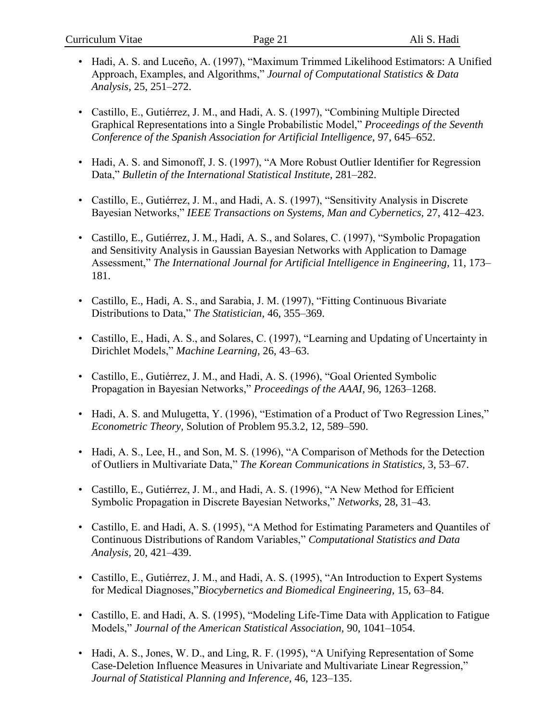- Hadi, A. S. and Luceño, A. (1997), "Maximum Trimmed Likelihood Estimators: A Unified Approach, Examples, and Algorithms," *Journal of Computational Statistics & Data Analysis*, 25, 251–272.
- Castillo, E., Gutiérrez, J. M., and Hadi, A. S. (1997), "Combining Multiple Directed Graphical Representations into a Single Probabilistic Model," *Proceedings of the Seventh Conference of the Spanish Association for Artificial Intelligence,* 97, 645–652.
- Hadi, A. S. and Simonoff, J. S. (1997), "A More Robust Outlier Identifier for Regression Data," *Bulletin of the International Statistical Institute,* 281–282.
- Castillo, E., Gutiérrez, J. M., and Hadi, A. S. (1997), "Sensitivity Analysis in Discrete Bayesian Networks," *IEEE Transactions on Systems, Man and Cybernetics,* 27, 412–423.
- Castillo, E., Gutiérrez, J. M., Hadi, A. S., and Solares, C. (1997), "Symbolic Propagation and Sensitivity Analysis in Gaussian Bayesian Networks with Application to Damage Assessment," *The International Journal for Artificial Intelligence in Engineering,* 11, 173– 181.
- Castillo, E., Hadi, A. S., and Sarabia, J. M. (1997), "Fitting Continuous Bivariate Distributions to Data," *The Statistician,* 46, 355–369.
- Castillo, E., Hadi, A. S., and Solares, C. (1997), "Learning and Updating of Uncertainty in Dirichlet Models," *Machine Learning,* 26, 43–63.
- Castillo, E., Gutiérrez, J. M., and Hadi, A. S. (1996), "Goal Oriented Symbolic Propagation in Bayesian Networks," *Proceedings of the AAAI,* 96, 1263–1268.
- Hadi, A. S. and Mulugetta, Y. (1996), "Estimation of a Product of Two Regression Lines," *Econometric Theory,* Solution of Problem 95.3.2, 12, 589–590.
- Hadi, A. S., Lee, H., and Son, M. S. (1996), "A Comparison of Methods for the Detection of Outliers in Multivariate Data," *The Korean Communications in Statistics,* 3, 53–67.
- Castillo, E., Gutiérrez, J. M., and Hadi, A. S. (1996), "A New Method for Efficient Symbolic Propagation in Discrete Bayesian Networks," *Networks,* 28, 31–43.
- Castillo, E. and Hadi, A. S. (1995), "A Method for Estimating Parameters and Quantiles of Continuous Distributions of Random Variables," *Computational Statistics and Data Analysis,* 20, 421–439.
- Castillo, E., Gutiérrez, J. M., and Hadi, A. S. (1995), "An Introduction to Expert Systems for Medical Diagnoses,"*Biocybernetics and Biomedical Engineering,* 15, 63–84.
- Castillo, E. and Hadi, A. S. (1995), "Modeling Life-Time Data with Application to Fatigue Models," *Journal of the American Statistical Association,* 90, 1041–1054.
- Hadi, A. S., Jones, W. D., and Ling, R. F. (1995), "A Unifying Representation of Some Case-Deletion Influence Measures in Univariate and Multivariate Linear Regression," *Journal of Statistical Planning and Inference,* 46, 123–135.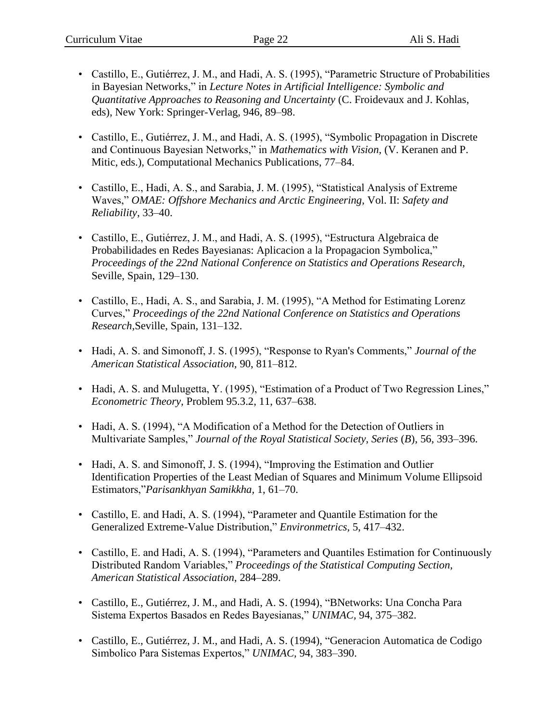- Castillo, E., Gutiérrez, J. M., and Hadi, A. S. (1995), "Parametric Structure of Probabilities in Bayesian Networks," in *Lecture Notes in Artificial Intelligence: Symbolic and Quantitative Approaches to Reasoning and Uncertainty* (C. Froidevaux and J. Kohlas, eds), New York: Springer-Verlag, 946, 89–98.
- Castillo, E., Gutiérrez, J. M., and Hadi, A. S. (1995), "Symbolic Propagation in Discrete and Continuous Bayesian Networks," in *Mathematics with Vision,* (V. Keranen and P. Mitic, eds.), Computational Mechanics Publications, 77–84.
- Castillo, E., Hadi, A. S., and Sarabia, J. M. (1995), "Statistical Analysis of Extreme Waves," *OMAE: Offshore Mechanics and Arctic Engineering,* Vol. II: *Safety and Reliability*, 33–40.
- Castillo, E., Gutiérrez, J. M., and Hadi, A. S. (1995), "Estructura Algebraica de Probabilidades en Redes Bayesianas: Aplicacion a la Propagacion Symbolica," *Proceedings of the 22nd National Conference on Statistics and Operations Research,*  Seville, Spain, 129–130.
- Castillo, E., Hadi, A. S., and Sarabia, J. M. (1995), "A Method for Estimating Lorenz Curves," *Proceedings of the 22nd National Conference on Statistics and Operations Research,*Seville, Spain, 131–132.
- Hadi, A. S. and Simonoff, J. S. (1995), "Response to Ryan's Comments," *Journal of the American Statistical Association,* 90, 811–812.
- Hadi, A. S. and Mulugetta, Y. (1995), "Estimation of a Product of Two Regression Lines," *Econometric Theory,* Problem 95.3.2, 11, 637–638.
- Hadi, A. S. (1994), "A Modification of a Method for the Detection of Outliers in Multivariate Samples," *Journal of the Royal Statistical Society, Series* (*B*), 56, 393–396.
- Hadi, A. S. and Simonoff, J. S. (1994), "Improving the Estimation and Outlier Identification Properties of the Least Median of Squares and Minimum Volume Ellipsoid Estimators,"*Parisankhyan Samikkha,* 1, 61–70.
- Castillo, E. and Hadi, A. S. (1994), "Parameter and Quantile Estimation for the Generalized Extreme-Value Distribution," *Environmetrics,* 5, 417–432.
- Castillo, E. and Hadi, A. S. (1994), "Parameters and Quantiles Estimation for Continuously Distributed Random Variables," *Proceedings of the Statistical Computing Section, American Statistical Association,* 284–289.
- Castillo, E., Gutiérrez, J. M., and Hadi, A. S. (1994), "BNetworks: Una Concha Para Sistema Expertos Basados en Redes Bayesianas," *UNIMAC,* 94, 375–382.
- Castillo, E., Gutiérrez, J. M., and Hadi, A. S. (1994), "Generacion Automatica de Codigo Simbolico Para Sistemas Expertos," *UNIMAC,* 94, 383–390.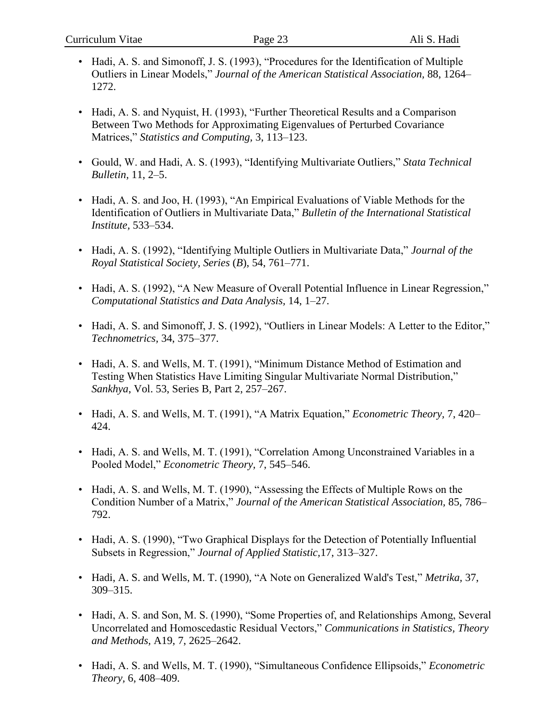- Hadi, A. S. and Simonoff, J. S. (1993), "Procedures for the Identification of Multiple Outliers in Linear Models," *Journal of the American Statistical Association,* 88, 1264– 1272.
- Hadi, A. S. and Nyquist, H. (1993), "Further Theoretical Results and a Comparison Between Two Methods for Approximating Eigenvalues of Perturbed Covariance Matrices," *Statistics and Computing,* 3, 113–123.
- Gould, W. and Hadi, A. S. (1993), "Identifying Multivariate Outliers," *Stata Technical Bulletin,* 11, 2–5.
- Hadi, A. S. and Joo, H. (1993), "An Empirical Evaluations of Viable Methods for the Identification of Outliers in Multivariate Data," *Bulletin of the International Statistical Institute,* 533–534.
- Hadi, A. S. (1992), "Identifying Multiple Outliers in Multivariate Data," *Journal of the Royal Statistical Society, Series* (*B*), 54, 761–771.
- Hadi, A. S. (1992), "A New Measure of Overall Potential Influence in Linear Regression," *Computational Statistics and Data Analysis,* 14, 1–27.
- Hadi, A. S. and Simonoff, J. S. (1992), "Outliers in Linear Models: A Letter to the Editor," *Technometrics,* 34, 375–377.
- Hadi, A. S. and Wells, M. T. (1991), "Minimum Distance Method of Estimation and Testing When Statistics Have Limiting Singular Multivariate Normal Distribution," *Sankhya*, Vol. 53, Series B, Part 2, 257–267.
- Hadi, A. S. and Wells, M. T. (1991), "A Matrix Equation," *Econometric Theory,* 7, 420– 424.
- Hadi, A. S. and Wells, M. T. (1991), "Correlation Among Unconstrained Variables in a Pooled Model," *Econometric Theory,* 7, 545–546.
- Hadi, A. S. and Wells, M. T. (1990), "Assessing the Effects of Multiple Rows on the Condition Number of a Matrix," *Journal of the American Statistical Association,* 85, 786– 792.
- Hadi, A. S. (1990), "Two Graphical Displays for the Detection of Potentially Influential Subsets in Regression," *Journal of Applied Statistic,*17, 313–327.
- Hadi, A. S. and Wells, M. T. (1990), "A Note on Generalized Wald's Test," *Metrika,* 37, 309–315.
- Hadi, A. S. and Son, M. S. (1990), "Some Properties of, and Relationships Among, Several Uncorrelated and Homoscedastic Residual Vectors," *Communications in Statistics, Theory and Methods,* A19, 7, 2625–2642.
- Hadi, A. S. and Wells, M. T. (1990), "Simultaneous Confidence Ellipsoids," *Econometric Theory,* 6, 408–409.